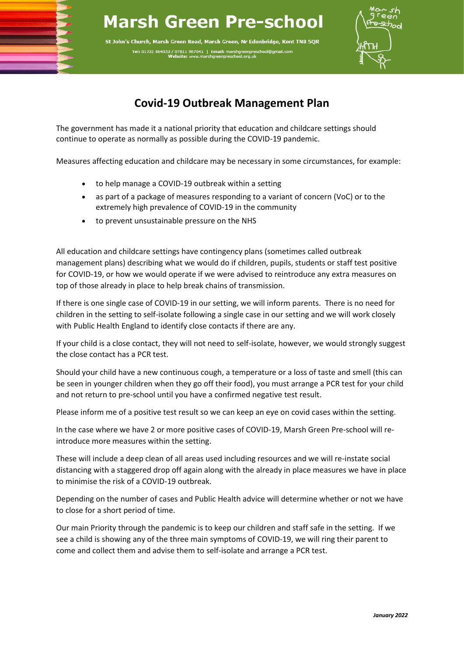## **Marsh Green Pre-school**

St John's Church, Marsh Green Road, Marsh Green, Nr Edenbridge, Kent TN8 5QR Tel: 01732 864553 / 07811 987041 | E arsngreenpre<br>chool org.uk



## **Covid-19 Outbreak Management Plan**

The government has made it a national priority that education and childcare settings should continue to operate as normally as possible during the COVID-19 pandemic.

Measures affecting education and childcare may be necessary in some circumstances, for example:

- to help manage a COVID-19 outbreak within a setting
- as part of a package of measures responding to a variant of concern (VoC) or to the extremely high prevalence of COVID-19 in the community
- to prevent unsustainable pressure on the NHS

j

i,

ļ

All education and childcare settings have contingency plans (sometimes called outbreak management plans) describing what we would do if children, pupils, students or staff test positive for COVID-19, or how we would operate if we were advised to reintroduce any extra measures on top of those already in place to help break chains of transmission.

If there is one single case of COVID-19 in our setting, we will inform parents. There is no need for children in the setting to self-isolate following a single case in our setting and we will work closely with Public Health England to identify close contacts if there are any.

If your child is a close contact, they will not need to self-isolate, however, we would strongly suggest the close contact has a PCR test.

Should your child have a new continuous cough, a temperature or a loss of taste and smell (this can be seen in younger children when they go off their food), you must arrange a PCR test for your child and not return to pre-school until you have a confirmed negative test result.

Please inform me of a positive test result so we can keep an eye on covid cases within the setting.

In the case where we have 2 or more positive cases of COVID-19, Marsh Green Pre-school will reintroduce more measures within the setting.

These will include a deep clean of all areas used including resources and we will re-instate social distancing with a staggered drop off again along with the already in place measures we have in place to minimise the risk of a COVID-19 outbreak.

Depending on the number of cases and Public Health advice will determine whether or not we have to close for a short period of time.

Our main Priority through the pandemic is to keep our children and staff safe in the setting. If we see a child is showing any of the three main symptoms of COVID-19, we will ring their parent to come and collect them and advise them to self-isolate and arrange a PCR test.